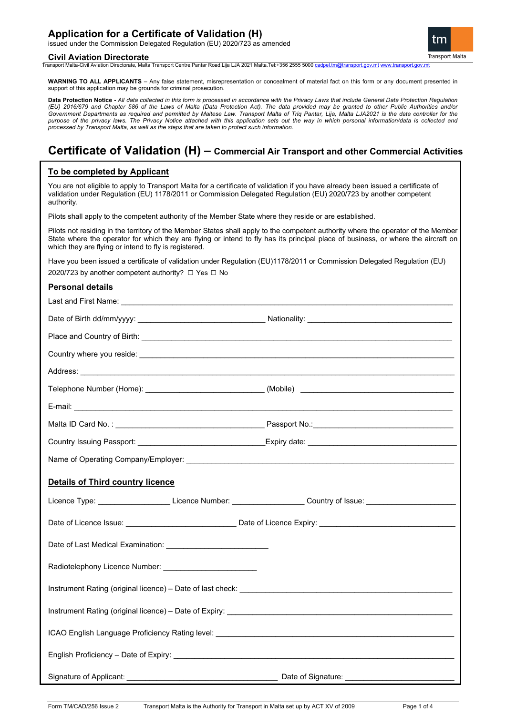## **Application for a Certificate of Validation (H)**

issued under the Commission Delegated Regulation (EU) 2020/723 as amended

#### **Civil Aviation Directorate**

tm **Transport Malta** 

Transport Malta-Civil Aviation Directorate, Malta Transport Centre,Pantar Road,Lija LJA 2021 Malta.Tel:+356 2555 5000 [cadpel.tm@transport.gov.mt](mailto:cadpel.tm@transport.gov.mt) [www.transport.gov.mt](http://www.transport.gov.mt/)

**WARNING TO ALL APPLICANTS** – Any false statement, misrepresentation or concealment of material fact on this form or any document presented in support of this application may be grounds for criminal prosecution.

**Data Protection Notice -** *All data collected in this form is processed in accordance with the Privacy Laws that include General Data Protection Regulation (EU) 2016/679 and Chapter 586 of the Laws of Malta (Data Protection Act). The data provided may be granted to other Public Authorities and/or*  Government Departments as required and permitted by Maltese Law. Transport Malta of Triq Pantar, Lija, Malta LJA2021 is the data controller for the *purpose of the privacy laws. The Privacy Notice attached with this application sets out the way in which personal information/data is collected and processed by Transport Malta, as well as the steps that are taken to protect such information.*

# **Certificate of Validation (H) – Commercial Air Transport and other Commercial Activities**

## **To be completed by Applicant**

You are not eligible to apply to Transport Malta for a certificate of validation if you have already been issued a certificate of validation under Regulation (EU) 1178/2011 or Commission Delegated Regulation (EU) 2020/723 by another competent authority.

Pilots shall apply to the competent authority of the Member State where they reside or are established.

Pilots not residing in the territory of the Member States shall apply to the competent authority where the operator of the Member State where the operator for which they are flying or intend to fly has its principal place of business, or where the aircraft on which they are flying or intend to fly is registered.

Have you been issued a certificate of validation under Regulation (EU)1178/2011 or Commission Delegated Regulation (EU) 2020/723 by another competent authority? □ Yes □ No

### **Personal details**

| Telephone Number (Home): _______________________________(Mobile) ___________________________________ |                                                                                                                |
|------------------------------------------------------------------------------------------------------|----------------------------------------------------------------------------------------------------------------|
|                                                                                                      |                                                                                                                |
|                                                                                                      |                                                                                                                |
|                                                                                                      |                                                                                                                |
|                                                                                                      |                                                                                                                |
| <b>Details of Third country licence</b>                                                              |                                                                                                                |
|                                                                                                      |                                                                                                                |
|                                                                                                      | Licence Type: _______________________Licence Number: ___________________Country of Issue: ____________________ |
|                                                                                                      |                                                                                                                |
|                                                                                                      |                                                                                                                |
|                                                                                                      |                                                                                                                |
|                                                                                                      |                                                                                                                |
|                                                                                                      |                                                                                                                |
|                                                                                                      |                                                                                                                |
|                                                                                                      |                                                                                                                |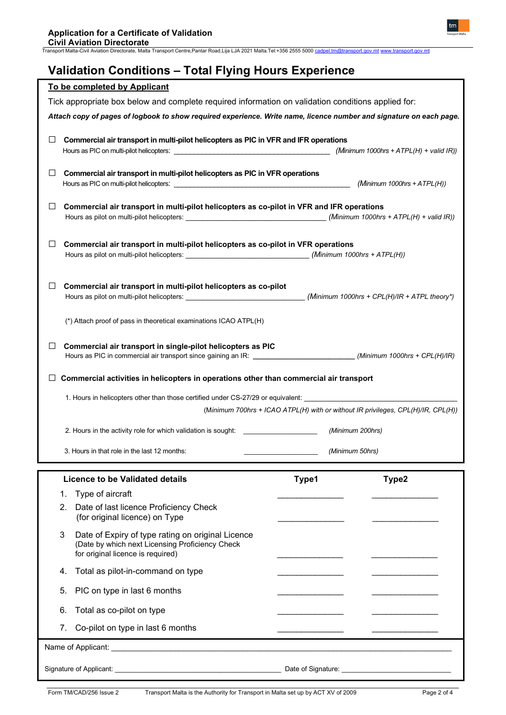**Civil Aviation Directorate** Transport Malta-Civil Aviation Directorate, Malta Transport Centre,Pantar Road,Lija LJA 2021 Malta.Tel:+356 2555 5000 [cadpel.tm@transport.gov.mt](mailto:cadpel.tm@transport.gov.mt) [www.transport.gov.mt](http://www.transport.gov.mt/)

# **Validation Conditions – Total Flying Hours Experience**

|          | To be completed by Applicant                                                                                                                                                         |                  |                                                                                  |
|----------|--------------------------------------------------------------------------------------------------------------------------------------------------------------------------------------|------------------|----------------------------------------------------------------------------------|
|          | Tick appropriate box below and complete required information on validation conditions applied for:                                                                                   |                  |                                                                                  |
|          | Attach copy of pages of logbook to show required experience. Write name, licence number and signature on each page.                                                                  |                  |                                                                                  |
| ப        | Commercial air transport in multi-pilot helicopters as PIC in VFR and IFR operations                                                                                                 |                  | (Minimum 1000hrs + $ATPL(H)$ + valid IR))                                        |
| ⊔        | Commercial air transport in multi-pilot helicopters as PIC in VFR operations                                                                                                         |                  | (Minimum 1000hrs + $ATPL(H)$ )                                                   |
| ⊔        | Commercial air transport in multi-pilot helicopters as co-pilot in VFR and IFR operations                                                                                            |                  |                                                                                  |
| ⊔        | Commercial air transport in multi-pilot helicopters as co-pilot in VFR operations                                                                                                    |                  | (Minimum 1000hrs + $ATPL(H)$ )                                                   |
| ⊔        | Commercial air transport in multi-pilot helicopters as co-pilot                                                                                                                      |                  |                                                                                  |
|          | (*) Attach proof of pass in theoretical examinations ICAO ATPL(H)                                                                                                                    |                  |                                                                                  |
| ⊔        | Commercial air transport in single-pilot helicopters as PIC<br>Hours as PIC in commercial air transport since gaining an IR: __________________________(Minimum 1000hrs + CPL(H)/IR) |                  |                                                                                  |
|          |                                                                                                                                                                                      |                  |                                                                                  |
|          | Commercial activities in helicopters in operations other than commercial air transport                                                                                               |                  |                                                                                  |
|          |                                                                                                                                                                                      |                  |                                                                                  |
|          | 1. Hours in helicopters other than those certified under CS-27/29 or equivalent: ___________________                                                                                 |                  | (Minimum 700hrs + ICAO ATPL(H) with or without IR privileges, CPL(H)/IR, CPL(H)) |
|          | 2. Hours in the activity role for which validation is sought:                                                                                                                        | (Minimum 200hrs) |                                                                                  |
|          | 3. Hours in that role in the last 12 months:                                                                                                                                         | (Minimum 50hrs)  |                                                                                  |
|          | <b>Licence to be Validated details</b>                                                                                                                                               |                  |                                                                                  |
|          |                                                                                                                                                                                      | Type1            | Type2                                                                            |
| 1.<br>2. | Type of aircraft<br>Date of last licence Proficiency Check<br>(for original licence) on Type                                                                                         |                  |                                                                                  |
| 3        | Date of Expiry of type rating on original Licence<br>(Date by which next Licensing Proficiency Check<br>for original licence is required)                                            |                  |                                                                                  |
| 4.       | Total as pilot-in-command on type                                                                                                                                                    |                  |                                                                                  |
| 5.       | PIC on type in last 6 months                                                                                                                                                         |                  |                                                                                  |
| 6.       | Total as co-pilot on type                                                                                                                                                            |                  |                                                                                  |
| 7.       | Co-pilot on type in last 6 months                                                                                                                                                    |                  |                                                                                  |
|          |                                                                                                                                                                                      |                  |                                                                                  |

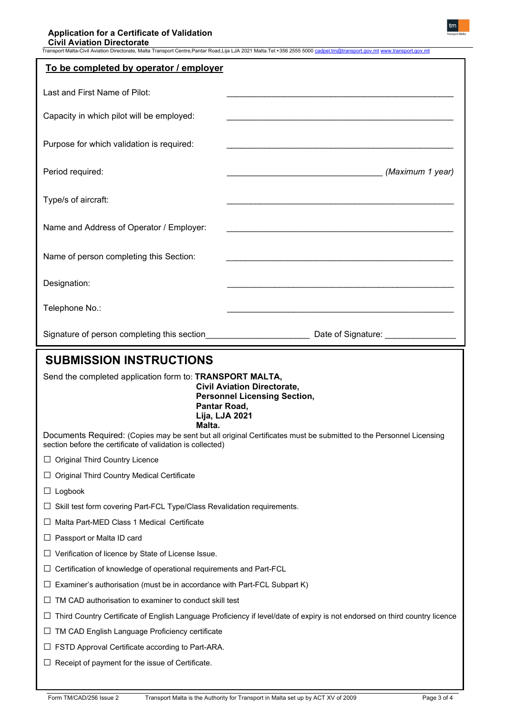| Transport Malta-Civil Aviation Directorate, Malta Transport Centre,Pantar Road,Lija LJA 2021 Malta.Tel:+356 2555 5000 <u>cadpel.tm@transport.gov.mt www.transport.gov.m</u> |                                                                                                                            |  |  |
|-----------------------------------------------------------------------------------------------------------------------------------------------------------------------------|----------------------------------------------------------------------------------------------------------------------------|--|--|
| To be completed by operator / employer                                                                                                                                      |                                                                                                                            |  |  |
| Last and First Name of Pilot:                                                                                                                                               |                                                                                                                            |  |  |
| Capacity in which pilot will be employed:                                                                                                                                   |                                                                                                                            |  |  |
| Purpose for which validation is required:                                                                                                                                   |                                                                                                                            |  |  |
| Period required:                                                                                                                                                            | (Maximum 1 year)                                                                                                           |  |  |
| Type/s of aircraft:                                                                                                                                                         |                                                                                                                            |  |  |
| Name and Address of Operator / Employer:                                                                                                                                    |                                                                                                                            |  |  |
| Name of person completing this Section:                                                                                                                                     |                                                                                                                            |  |  |
| Designation:                                                                                                                                                                |                                                                                                                            |  |  |
| Telephone No.:                                                                                                                                                              |                                                                                                                            |  |  |
| Signature of person completing this section                                                                                                                                 | Date of Signature: ______________                                                                                          |  |  |
| <b>SUBMISSION INSTRUCTIONS</b>                                                                                                                                              |                                                                                                                            |  |  |
| Send the completed application form to: TRANSPORT MALTA,<br><b>Civil Aviation Directorate,</b><br><b>Personnel Licensing Section,</b><br>Pantar Road,<br>Lija, LJA 2021     |                                                                                                                            |  |  |
|                                                                                                                                                                             |                                                                                                                            |  |  |
| Malta.<br>section before the certificate of validation is collected)                                                                                                        | Documents Required: (Copies may be sent but all original Certificates must be submitted to the Personnel Licensing         |  |  |
| $\Box$ Original Third Country Licence                                                                                                                                       |                                                                                                                            |  |  |
| Original Third Country Medical Certificate                                                                                                                                  |                                                                                                                            |  |  |
| Logbook<br>⊔                                                                                                                                                                |                                                                                                                            |  |  |
| Skill test form covering Part-FCL Type/Class Revalidation requirements.                                                                                                     |                                                                                                                            |  |  |
| Malta Part-MED Class 1 Medical Certificate                                                                                                                                  |                                                                                                                            |  |  |
| Passport or Malta ID card<br>ப                                                                                                                                              |                                                                                                                            |  |  |
| Verification of licence by State of License Issue.<br>ப                                                                                                                     |                                                                                                                            |  |  |
| Certification of knowledge of operational requirements and Part-FCL<br>⊔                                                                                                    |                                                                                                                            |  |  |
| Examiner's authorisation (must be in accordance with Part-FCL Subpart K)                                                                                                    |                                                                                                                            |  |  |
| TM CAD authorisation to examiner to conduct skill test                                                                                                                      |                                                                                                                            |  |  |
|                                                                                                                                                                             | Third Country Certificate of English Language Proficiency if level/date of expiry is not endorsed on third country licence |  |  |
| TM CAD English Language Proficiency certificate<br>ப                                                                                                                        |                                                                                                                            |  |  |
| FSTD Approval Certificate according to Part-ARA.                                                                                                                            |                                                                                                                            |  |  |